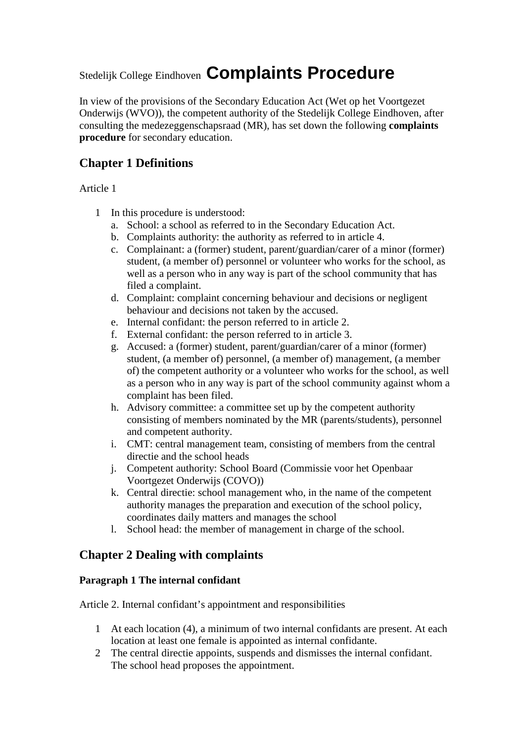# Stedelijk College Eindhoven **Complaints Procedure**

In view of the provisions of the Secondary Education Act (Wet op het Voortgezet Onderwijs (WVO)), the competent authority of the Stedelijk College Eindhoven, after consulting the medezeggenschapsraad (MR), has set down the following **complaints procedure** for secondary education.

# **Chapter 1 Definitions**

Article 1

- 1 In this procedure is understood:
	- a. School: a school as referred to in the Secondary Education Act.
	- b. Complaints authority: the authority as referred to in article 4.
	- c. Complainant: a (former) student, parent/guardian/carer of a minor (former) student, (a member of) personnel or volunteer who works for the school, as well as a person who in any way is part of the school community that has filed a complaint.
	- d. Complaint: complaint concerning behaviour and decisions or negligent behaviour and decisions not taken by the accused.
	- e. Internal confidant: the person referred to in article 2.
	- f. External confidant: the person referred to in article 3.
	- g. Accused: a (former) student, parent/guardian/carer of a minor (former) student, (a member of) personnel, (a member of) management, (a member of) the competent authority or a volunteer who works for the school, as well as a person who in any way is part of the school community against whom a complaint has been filed.
	- h. Advisory committee: a committee set up by the competent authority consisting of members nominated by the MR (parents/students), personnel and competent authority.
	- i. CMT: central management team, consisting of members from the central directie and the school heads
	- j. Competent authority: School Board (Commissie voor het Openbaar Voortgezet Onderwijs (COVO))
	- k. Central directie: school management who, in the name of the competent authority manages the preparation and execution of the school policy, coordinates daily matters and manages the school
	- l. School head: the member of management in charge of the school.

# **Chapter 2 Dealing with complaints**

## **Paragraph 1 The internal confidant**

Article 2. Internal confidant's appointment and responsibilities

- 1 At each location (4), a minimum of two internal confidants are present. At each location at least one female is appointed as internal confidante.
- 2 The central directie appoints, suspends and dismisses the internal confidant. The school head proposes the appointment.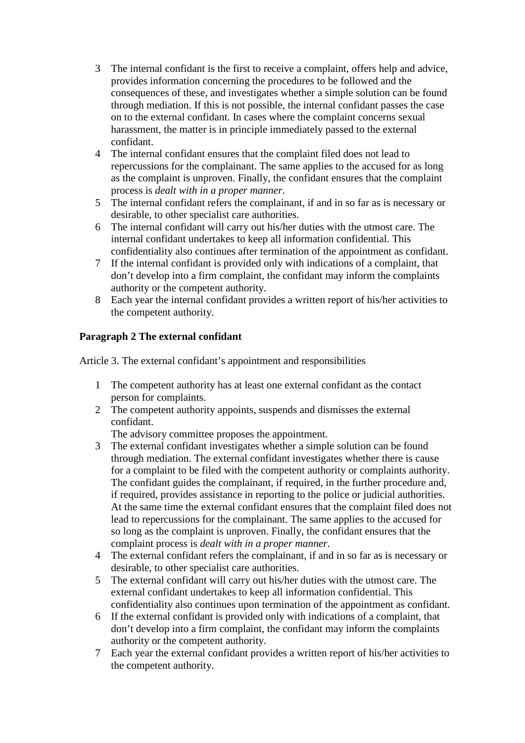- 3 The internal confidant is the first to receive a complaint, offers help and advice, provides information concerning the procedures to be followed and the consequences of these, and investigates whether a simple solution can be found through mediation. If this is not possible, the internal confidant passes the case on to the external confidant. In cases where the complaint concerns sexual harassment, the matter is in principle immediately passed to the external confidant.
- 4 The internal confidant ensures that the complaint filed does not lead to repercussions for the complainant. The same applies to the accused for as long as the complaint is unproven. Finally, the confidant ensures that the complaint process is *dealt with in a proper manner*.
- 5 The internal confidant refers the complainant, if and in so far as is necessary or desirable, to other specialist care authorities.
- 6 The internal confidant will carry out his/her duties with the utmost care. The internal confidant undertakes to keep all information confidential. This confidentiality also continues after termination of the appointment as confidant.
- 7 If the internal confidant is provided only with indications of a complaint, that don't develop into a firm complaint, the confidant may inform the complaints authority or the competent authority.
- 8 Each year the internal confidant provides a written report of his/her activities to the competent authority.

## **Paragraph 2 The external confidant**

Article 3. The external confidant's appointment and responsibilities

- 1 The competent authority has at least one external confidant as the contact person for complaints.
- 2 The competent authority appoints, suspends and dismisses the external confidant.

The advisory committee proposes the appointment.

- 3 The external confidant investigates whether a simple solution can be found through mediation. The external confidant investigates whether there is cause for a complaint to be filed with the competent authority or complaints authority. The confidant guides the complainant, if required, in the further procedure and, if required, provides assistance in reporting to the police or judicial authorities. At the same time the external confidant ensures that the complaint filed does not lead to repercussions for the complainant. The same applies to the accused for so long as the complaint is unproven. Finally, the confidant ensures that the complaint process is *dealt with in a proper manner*.
- 4 The external confidant refers the complainant, if and in so far as is necessary or desirable, to other specialist care authorities.
- 5 The external confidant will carry out his/her duties with the utmost care. The external confidant undertakes to keep all information confidential. This confidentiality also continues upon termination of the appointment as confidant.
- 6 If the external confidant is provided only with indications of a complaint, that don't develop into a firm complaint, the confidant may inform the complaints authority or the competent authority.
- 7 Each year the external confidant provides a written report of his/her activities to the competent authority.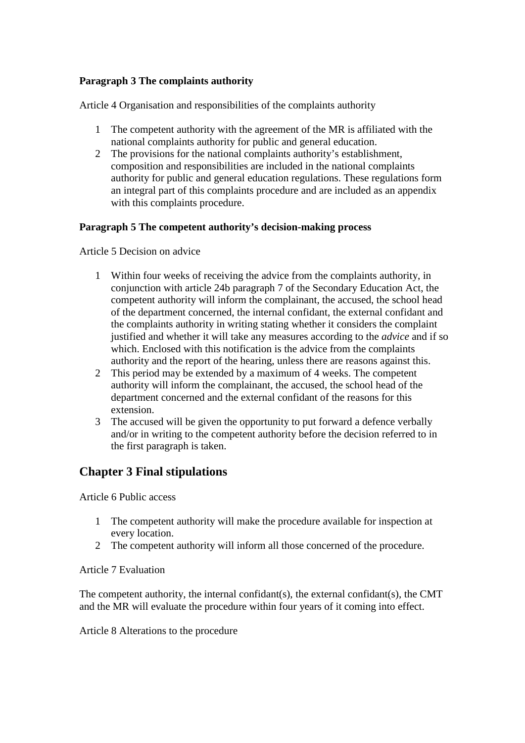## **Paragraph 3 The complaints authority**

Article 4 Organisation and responsibilities of the complaints authority

- 1 The competent authority with the agreement of the MR is affiliated with the national complaints authority for public and general education.
- 2 The provisions for the national complaints authority's establishment, composition and responsibilities are included in the national complaints authority for public and general education regulations. These regulations form an integral part of this complaints procedure and are included as an appendix with this complaints procedure.

## **Paragraph 5 The competent authority's decision-making process**

Article 5 Decision on advice

- 1 Within four weeks of receiving the advice from the complaints authority, in conjunction with article 24b paragraph 7 of the Secondary Education Act, the competent authority will inform the complainant, the accused, the school head of the department concerned, the internal confidant, the external confidant and the complaints authority in writing stating whether it considers the complaint justified and whether it will take any measures according to the *advice* and if so which. Enclosed with this notification is the advice from the complaints authority and the report of the hearing, unless there are reasons against this.
- 2 This period may be extended by a maximum of 4 weeks. The competent authority will inform the complainant, the accused, the school head of the department concerned and the external confidant of the reasons for this extension.
- 3 The accused will be given the opportunity to put forward a defence verbally and/or in writing to the competent authority before the decision referred to in the first paragraph is taken.

# **Chapter 3 Final stipulations**

Article 6 Public access

- 1 The competent authority will make the procedure available for inspection at every location.
- 2 The competent authority will inform all those concerned of the procedure.

#### Article 7 Evaluation

The competent authority, the internal confidant(s), the external confidant(s), the CMT and the MR will evaluate the procedure within four years of it coming into effect.

Article 8 Alterations to the procedure